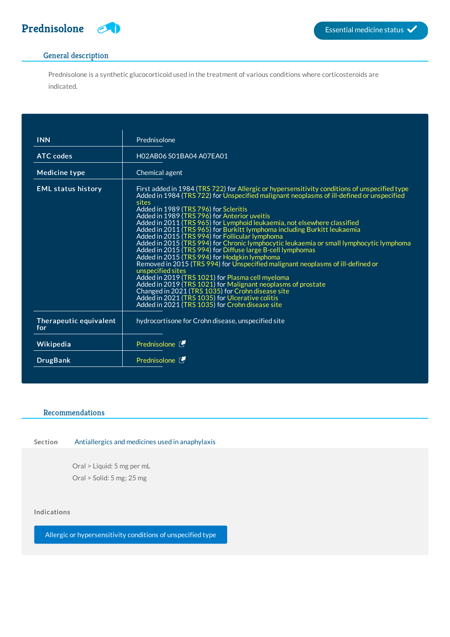## **Prednisolone Example 19** Essential medicine status  $\checkmark$

## General description

Prednisolone is a synthetic glucocorticoid used in the treatment of various conditions where corticosteroids are indicated.

| <b>INN</b><br><b>ATC</b> codes<br><b>Medicine type</b> | Prednisolone<br>H02AB06 S01BA04 A07EA01<br>Chemical agent                                                                                                                                                                                                                                                                                                                                                                                                                                                                                                                                                                                                                                                                                                                                                                                                                                                                                                                                                                                                                                               |
|--------------------------------------------------------|---------------------------------------------------------------------------------------------------------------------------------------------------------------------------------------------------------------------------------------------------------------------------------------------------------------------------------------------------------------------------------------------------------------------------------------------------------------------------------------------------------------------------------------------------------------------------------------------------------------------------------------------------------------------------------------------------------------------------------------------------------------------------------------------------------------------------------------------------------------------------------------------------------------------------------------------------------------------------------------------------------------------------------------------------------------------------------------------------------|
| <b>EML status history</b>                              | First added in 1984 (TRS 722) for Allergic or hypersensitivity conditions of unspecified type<br>Added in 1984 (TRS 722) for Unspecified malignant neoplasms of ill-defined or unspecified<br>sites<br>Added in 1989 (TRS 796) for Scleritis<br>Added in 1989 (TRS 796) for Anterior uveitis<br>Added in 2011 (TRS 965) for Lymphoid leukaemia, not elsewhere classified<br>Added in 2011 (TRS 965) for Burkitt lymphoma including Burkitt leukaemia<br>Added in 2015 (TRS 994) for Follicular lymphoma<br>Added in 2015 (TRS 994) for Chronic lymphocytic leukaemia or small lymphocytic lymphoma<br>Added in 2015 (TRS 994) for Diffuse large B-cell lymphomas<br>Added in 2015 (TRS 994) for Hodgkin lymphoma<br>Removed in 2015 (TRS 994) for Unspecified malignant neoplasms of ill-defined or<br>unspecified sites<br>Added in 2019 (TRS 1021) for Plasma cell myeloma<br>Added in 2019 (TRS 1021) for Malignant neoplasms of prostate<br>Changed in 2021 (TRS 1035) for Crohn disease site<br>Added in 2021 (TRS 1035) for Ulcerative colitis<br>Added in 2021 (TRS 1035) for Crohn disease site |
| Therapeutic equivalent<br>for                          | hydrocortisone for Crohn disease, unspecified site                                                                                                                                                                                                                                                                                                                                                                                                                                                                                                                                                                                                                                                                                                                                                                                                                                                                                                                                                                                                                                                      |
| Wikipedia                                              | Prednisolone <sup>[7]</sup>                                                                                                                                                                                                                                                                                                                                                                                                                                                                                                                                                                                                                                                                                                                                                                                                                                                                                                                                                                                                                                                                             |
| <b>DrugBank</b>                                        | Prednisolone M                                                                                                                                                                                                                                                                                                                                                                                                                                                                                                                                                                                                                                                                                                                                                                                                                                                                                                                                                                                                                                                                                          |

## Recommendations

Section Antiallergics and medicines used in anaphylaxis

Oral > Liquid: 5 mg per mL Oral > Solid: 5 mg; 25 mg

## Indications

Allergic or [hypersensitivity](http://list.essentialmeds.org/recommendations/39) conditions of unspecified type